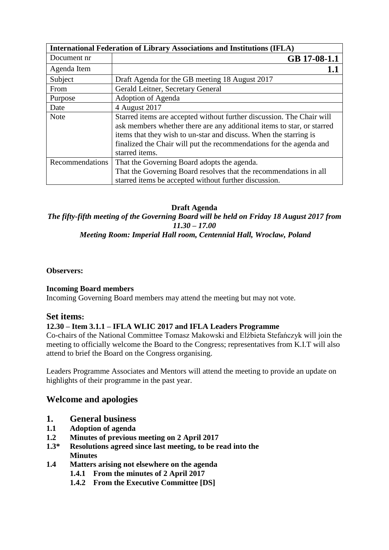| <b>International Federation of Library Associations and Institutions (IFLA)</b> |                                                                                                                                                                                                                                                                                                               |
|---------------------------------------------------------------------------------|---------------------------------------------------------------------------------------------------------------------------------------------------------------------------------------------------------------------------------------------------------------------------------------------------------------|
| Document nr                                                                     | GB 17-08-1.1                                                                                                                                                                                                                                                                                                  |
| Agenda Item                                                                     |                                                                                                                                                                                                                                                                                                               |
| Subject                                                                         | Draft Agenda for the GB meeting 18 August 2017                                                                                                                                                                                                                                                                |
| From                                                                            | Gerald Leitner, Secretary General                                                                                                                                                                                                                                                                             |
| Purpose                                                                         | Adoption of Agenda                                                                                                                                                                                                                                                                                            |
| Date                                                                            | 4 August 2017                                                                                                                                                                                                                                                                                                 |
| <b>Note</b>                                                                     | Starred items are accepted without further discussion. The Chair will<br>ask members whether there are any additional items to star, or starred<br>items that they wish to un-star and discuss. When the starring is<br>finalized the Chair will put the recommendations for the agenda and<br>starred items. |
| Recommendations                                                                 | That the Governing Board adopts the agenda.<br>That the Governing Board resolves that the recommendations in all<br>starred items be accepted without further discussion.                                                                                                                                     |

## **Draft Agenda**

*The fifty-fifth meeting of the Governing Board will be held on Friday 18 August 2017 from 11.30 – 17.00* 

*Meeting Room: Imperial Hall room, Centennial Hall, Wroclaw, Poland*

#### **Observers:**

#### **Incoming Board members**

Incoming Governing Board members may attend the meeting but may not vote.

#### **Set items:**

#### **12.30 – Item 3.1.1 – IFLA WLIC 2017 and IFLA Leaders Programme**

Co-chairs of the National Committee Tomasz Makowski and Elźbieta Stefańczyk will join the meeting to officially welcome the Board to the Congress; representatives from K.I.T will also attend to brief the Board on the Congress organising.

Leaders Programme Associates and Mentors will attend the meeting to provide an update on highlights of their programme in the past year.

## **Welcome and apologies**

- **1. General business**
- **1.1 Adoption of agenda**
- **1.2 Minutes of previous meeting on 2 April 2017**
- **1.3\* Resolutions agreed since last meeting, to be read into the Minutes**
- **1.4 Matters arising not elsewhere on the agenda** 
	- **1.4.1 From the minutes of 2 April 2017**
	- **1.4.2 From the Executive Committee [DS]**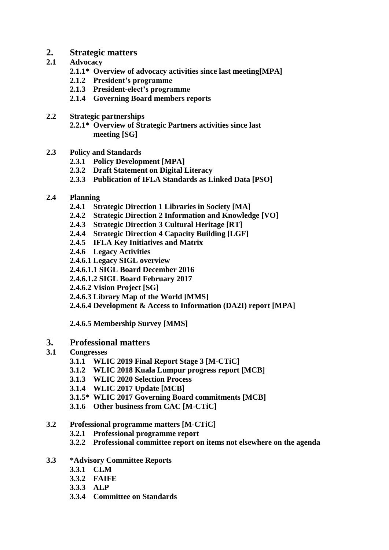# **2. Strategic matters**

### **2.1 Advocacy**

- **2.1.1\* Overview of advocacy activities since last meeting[MPA]**
- **2.1.2 President's programme**
- **2.1.3 President-elect's programme**
- **2.1.4 Governing Board members reports**
- **2.2 Strategic partnerships**
	- **2.2.1\* Overview of Strategic Partners activities since last meeting [SG]**
- **2.3 Policy and Standards** 
	- **2.3.1 Policy Development [MPA]**
	- **2.3.2 Draft Statement on Digital Literacy**
	- **2.3.3 Publication of IFLA Standards as Linked Data [PSO]**
- **2.4 Planning**
	- **2.4.1 Strategic Direction 1 Libraries in Society [MA]**
	- **2.4.2 Strategic Direction 2 Information and Knowledge [VO]**
	- **2.4.3 Strategic Direction 3 Cultural Heritage [RT]**
	- **2.4.4 Strategic Direction 4 Capacity Building [LGF]**
	- **2.4.5 IFLA Key Initiatives and Matrix**
	- **2.4.6 Legacy Activities**
	- **2.4.6.1 Legacy SIGL overview**
	- **2.4.6.1.1 SIGL Board December 2016**
	- **2.4.6.1.2 SIGL Board February 2017**
	- **2.4.6.2 Vision Project [SG]**
	- **2.4.6.3 Library Map of the World [MMS]**

**2.4.6.4 Development & Access to Information (DA2I) report [MPA]**

**2.4.6.5 Membership Survey [MMS]**

- **3. Professional matters**
- **3.1 Congresses** 
	- **3.1.1 WLIC 2019 Final Report Stage 3 [M-CTiC]**
	- **3.1.2 WLIC 2018 Kuala Lumpur progress report [MCB]**
	- **3.1.3 WLIC 2020 Selection Process**
	- **3.1.4 WLIC 2017 Update [MCB]**
	- **3.1.5\* WLIC 2017 Governing Board commitments [MCB]**
	- **3.1.6 Other business from CAC [M-CTiC]**
- **3.2 Professional programme matters [M-CTiC]**
	- **3.2.1 Professional programme report**
	- **3.2.2 Professional committee report on items not elsewhere on the agenda**
- **3.3 \*Advisory Committee Reports** 
	- **3.3.1 CLM**
	- **3.3.2 FAIFE**
	- **3.3.3 ALP**
	- **3.3.4 Committee on Standards**